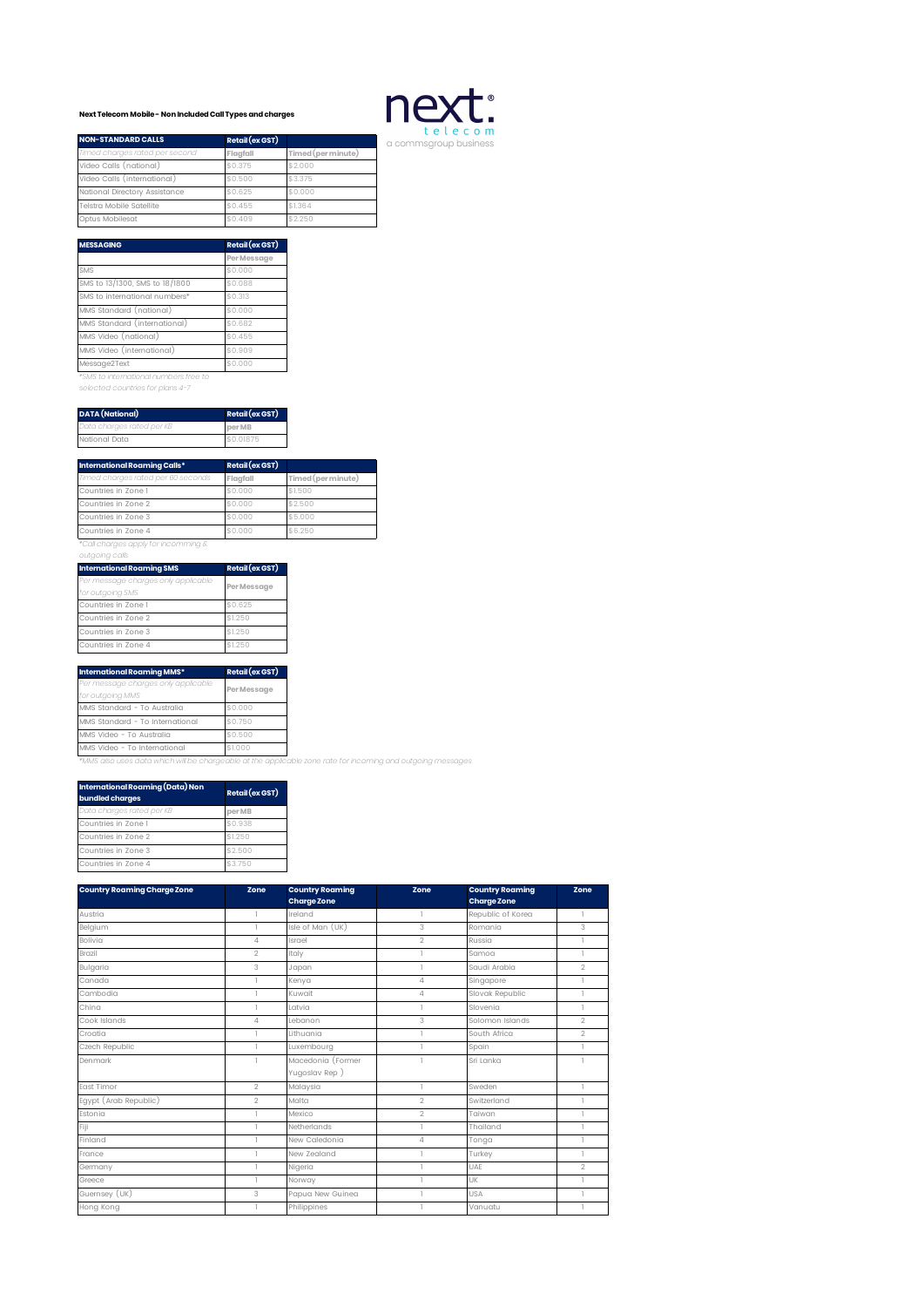## **Next Telecom Mobile - Non Included Call Types and charges**



| <b>NON-STANDARD CALLS</b>      | Retail (ex GST) |                    |
|--------------------------------|-----------------|--------------------|
| Timed charges rated per second | Flaafall        | Timed (per minute) |
| Video Calls (national)         | \$0.375         | \$2.000            |
| Video Calls (international)    | \$0.500         | \$3,375            |
| National Directory Assistance  | \$0.625         | \$0.000            |
| Telstra Mobile Satellite       | \$0.455         | \$1.364            |
| Optus Mobilesat                | \$0.409         | \$2.250            |

| <b>MESSAGING</b>               | Retail (ex GST) |
|--------------------------------|-----------------|
|                                | Per Message     |
| SMS                            | \$0.000         |
| SMS to 13/1300, SMS to 18/1800 | \$0.088         |
| SMS to international numbers*  | \$0.313         |
| MMS Standard (national)        | \$0.000         |
| MMS Standard (international)   | \$0.682         |
| MMS Video (national)           | \$0.455         |
| MMS Video (international)      | \$0.909         |
| Message2Text                   | \$0.000         |

*\*SMS to international numbers free to selected countries for plans 4-7*

| <b>DATA</b> (National)    | Retail (ex GST) |
|---------------------------|-----------------|
| Data charges rated per KB | per MB          |
| National Data             | \$0.01875       |

| International Roaming Calls*       | Retail (ex GST) |                    |
|------------------------------------|-----------------|--------------------|
| Timed charges rated per 60 seconds | Flagfall        | Timed (per minute) |
| Countries in Zone 1                | \$0,000         | \$1.500            |
| Countries in Zone 2                | \$0.000         | \$2,500            |
| Countries in Zone 3                | \$0.000         | \$5,000            |
| Countries in Zone 4                | \$0.000         | \$6.250            |
| .                                  |                 |                    |

## *\*Call charges apply for incomming & outgoing calls*

| <b>International Roaming SMS</b>                        | Retail (ex GST) |
|---------------------------------------------------------|-----------------|
| Per message charges only applicable<br>for outgoing SMS | Per Message     |
| Countries in Zone 1                                     | \$0.625         |
| Countries in Zone 2                                     | \$1,250         |
| Countries in Zone 3                                     | \$1,250         |
| Countries in Zone 4                                     | \$1,250         |

| International Roaming MMS*                                                                                  | Retail (ex GST) |  |  |
|-------------------------------------------------------------------------------------------------------------|-----------------|--|--|
| Per message charges only applicable                                                                         | Per Message     |  |  |
| for outgoing MMS                                                                                            |                 |  |  |
| MMS Standard - To Australia                                                                                 | \$0.000         |  |  |
| MMS Standard - To International                                                                             | \$0.750         |  |  |
| MMS Video - To Australia                                                                                    | \$0.500         |  |  |
| MMS Video - To International                                                                                | \$1,000         |  |  |
| *MMS also uses data which will be chargeable at the applicable zone rate for incoming and outgoing messages |                 |  |  |

| International Roaming (Data) Non<br>bundled charges | Retail (ex GST) |
|-----------------------------------------------------|-----------------|
| Data charges rated per KB                           | per MB          |
| Countries in Zone 1                                 | \$0.938         |
| Countries in Zone 2                                 | \$1.250         |
| Countries in Zone 3                                 | \$2.500         |
| Countries in Zone 4                                 | \$3.750         |

| <b>Country Roaming Charge Zone</b> | Zone           | <b>Country Roaming</b><br><b>Charge Zone</b> | Zone           | <b>Country Roaming</b><br><b>Charge Zone</b> | Zone           |
|------------------------------------|----------------|----------------------------------------------|----------------|----------------------------------------------|----------------|
| Austria                            | $\mathbb{I}$   | Ireland                                      | 1              | Republic of Korea                            | 1              |
| Belgium                            | 1              | Isle of Man (UK)                             | 3              | Romania                                      | 3              |
| <b>Bolivia</b>                     | 4              | Israel                                       | $\overline{2}$ | Russia                                       |                |
| Brazil                             | $\overline{2}$ | Italy                                        |                | Samoa                                        | 1              |
| Bulgaria                           | 3              | Japan                                        |                | Saudi Arabia                                 | $\overline{2}$ |
| Canada                             |                | Kenya                                        | $\overline{4}$ | Singapore                                    |                |
| Cambodia                           |                | Kuwait                                       | $\overline{4}$ | Slovak Republic                              | 1              |
| China                              | ı              | pivto                                        | 1              | Slovenia                                     | L.             |
| Cook Islands                       | $\overline{4}$ | lebanon                                      | 3              | Solomon Islands                              | $\overline{2}$ |
| Croatia                            |                | Lithuania                                    |                | South Africa                                 | $\overline{2}$ |
| Czech Republic                     |                | Luxembourg                                   |                | Spain                                        |                |
| Denmark                            |                | Macedonia (Former                            |                | Sri Lanka                                    |                |
|                                    |                | Yugoslav Rep)                                |                |                                              |                |
| East Timor                         | $\overline{2}$ | Malaysia                                     | I.             | Sweden                                       | 1              |
| Egypt (Arab Republic)              | $\overline{2}$ | Malta                                        | $\overline{2}$ | Switzerland                                  |                |
| Estonia                            | ı              | Mexico                                       | $\overline{2}$ | Taiwan                                       | 1              |
| Fiji                               | ٦              | Netherlands                                  | 1              | Thailand                                     | 1              |
| Finland                            |                | New Caledonia                                | $\overline{4}$ | Tonga                                        | 1              |
| France                             |                | New Zealand                                  |                | Turkey                                       | 1              |
| Germany                            |                | Nigeria                                      |                | UAE                                          | $\overline{2}$ |
| Greece                             |                | Norway                                       |                | UK                                           |                |
| Guernsey (UK)                      | 3              | Papua New Guinea                             |                | <b>USA</b>                                   |                |
| Hong Kong                          |                | Philippines                                  |                | Vanuatu                                      |                |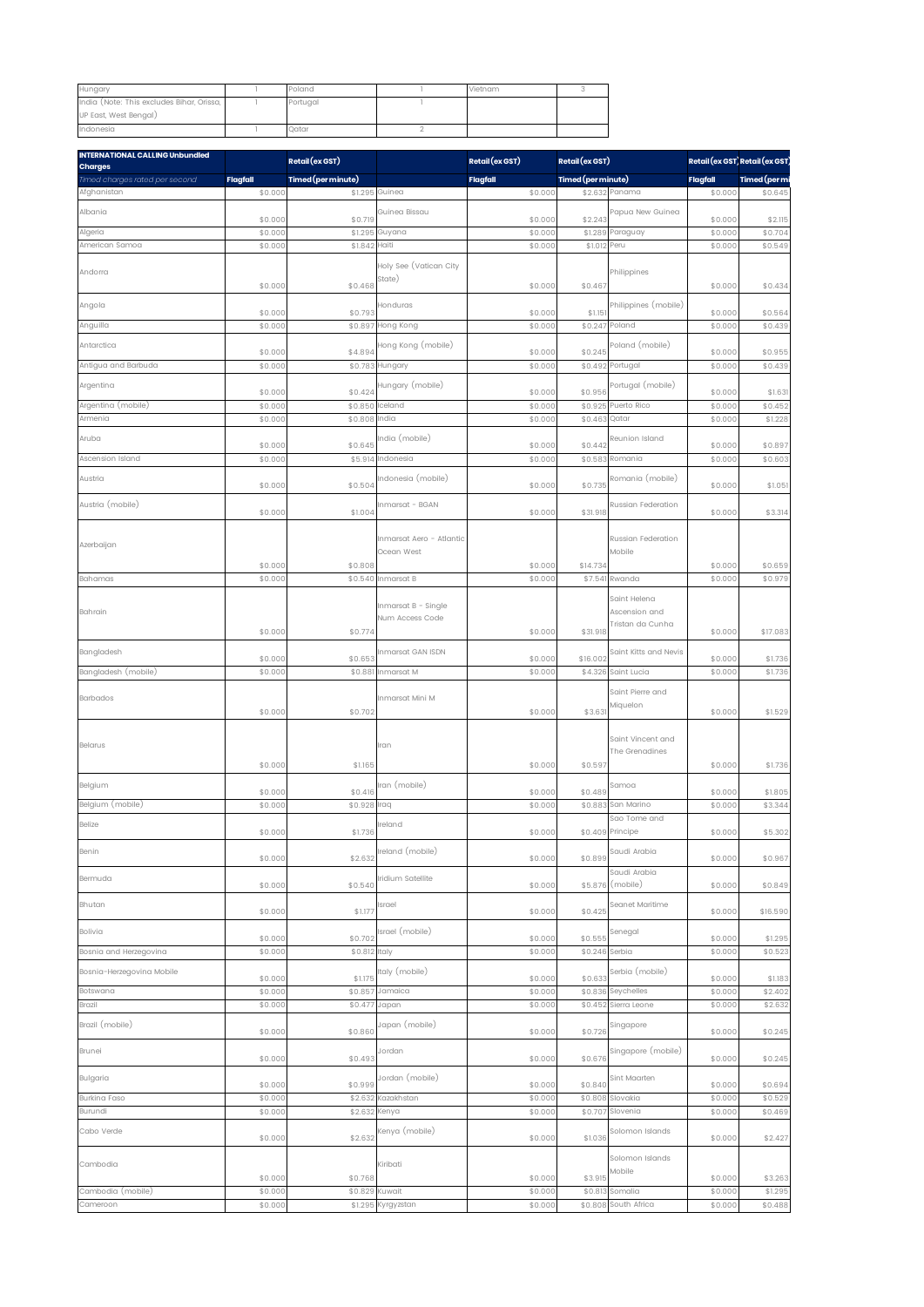| Hungary                                                            | Poland   | Vietnam |  |
|--------------------------------------------------------------------|----------|---------|--|
| India (Note: This excludes Bihar, Orissa,<br>UP East, West Bengal) | Portuaal |         |  |
| Indonesia                                                          | Qatar    |         |  |

| <b>INTERNATIONAL CALLING Unbundled</b><br><b>Charges</b> |                    | Retail (ex GST)    |                                        | Retail (ex GST)    | Retail (ex GST)    |                                     |                    | Retail (ex GST) Retail (ex GST) |
|----------------------------------------------------------|--------------------|--------------------|----------------------------------------|--------------------|--------------------|-------------------------------------|--------------------|---------------------------------|
| Timed charges rated per second                           | <b>Flagfall</b>    | Timed (per minute) |                                        | <b>Flagfall</b>    | Timed (per minute) |                                     | Flagfall           | Timed (per mi                   |
| Afghanistan                                              | \$0.000            | \$1.295            | Guinea                                 | \$0.000            |                    | \$2.632 Panama                      | \$0.000            | \$0.645                         |
| Albania                                                  | \$0.000            | \$0.719            | Guinea Bissau                          | \$0.000            | \$2.24             | apua New Guinea                     | \$0.000            | \$2.115                         |
| Algeria                                                  | \$0.000            | \$1.295            | Guyana                                 | \$0.000            | \$1.289            | Paraguay                            | \$0.00             | \$0.704                         |
| American Samoa                                           | \$0.000            | \$1.842            | Haiti                                  | \$0.000            | \$1.012            | Peru                                | \$0.000            | \$0.549                         |
|                                                          |                    |                    | Holy See (Vatican City                 |                    |                    |                                     |                    |                                 |
| Andorra                                                  | \$0.000            | \$0.468            | State)                                 | \$0.000            | \$0.467            | Philippines                         | \$0.000            | \$0.434                         |
|                                                          |                    |                    |                                        |                    |                    |                                     |                    |                                 |
| Angola                                                   | \$0.000            | \$0.793            | Honduras                               | \$0.000            | \$1.15             | Philippines (mobile)                | \$0.000            | \$0.564                         |
| Anguilla                                                 | \$0.000            | \$0.89             | Hong Kong                              | \$0.000            | \$0.247            | Poland                              | \$0.00             | \$0.439                         |
| Antarctica                                               | \$0.000            | \$4.894            | Hong Kong (mobile)                     | \$0.000            | \$0.245            | Poland (mobile)                     | \$0.000            | \$0.955                         |
| Antigua and Barbuda                                      | \$0.000            | \$0.78             | Hungary                                | \$0.000            | \$0.492            | Portugal                            | \$0.00             | \$0.439                         |
| Argentina                                                |                    |                    | Hungary (mobile)                       |                    |                    | ortugal (mobile)                    |                    |                                 |
|                                                          | \$0.000            | \$0.424            |                                        | \$0.000            | \$0.956            |                                     | \$0.000            | \$1.63                          |
| Argentina (mobile)<br>Armenia                            | \$0.000<br>\$0.000 | \$0.850<br>\$0.808 | Iceland<br>India                       | \$0.000<br>\$0.000 | \$0.925<br>\$0.46  | Puerto Rico<br>Qatar                | \$0.00<br>\$0.00   | \$0.452<br>\$1.228              |
|                                                          |                    |                    |                                        |                    |                    |                                     |                    |                                 |
| Aruba                                                    | \$0.000            | \$0.645            | India (mobile)                         | \$0.000            | \$0.442            | Reunion Island                      | \$0.000            | \$0.897                         |
| Ascension Island                                         | \$0.000            | \$5.91             | Indonesia                              | \$0.000            | \$0.58             | Romania                             | \$0.00             | \$0.60                          |
| Austria                                                  | \$0.000            | \$0.504            | Indonesia (mobile)                     | \$0.000            | \$0.735            | Romania (mobile)                    | \$0.000            | \$1.05                          |
|                                                          |                    |                    |                                        |                    |                    |                                     |                    |                                 |
| Austria (mobile)                                         | \$0.000            | \$1.004            | Inmarsat - BGAN                        | \$0.000            | \$31.918           | Russian Federation                  | \$0.000            | \$3.314                         |
|                                                          |                    |                    |                                        |                    |                    |                                     |                    |                                 |
| Azerbaijan                                               |                    |                    | Inmarsat Aero - Atlantic<br>Ocean West |                    |                    | Russian Federation<br>Mobile        |                    |                                 |
|                                                          | \$0.000            | \$0.808            |                                        | \$0.000            | \$14.734           |                                     | \$0.000            | \$0.659                         |
| Bahamas                                                  | \$0.000            | \$0.540            | Inmarsat B                             | \$0.000            | \$7.541            | Rwanda                              | \$0.00             | \$0.979                         |
|                                                          |                    |                    |                                        |                    |                    | Saint Helena                        |                    |                                 |
| Bahrain                                                  |                    |                    | Inmarsat B - Single<br>Num Access Code |                    |                    | Ascension and                       |                    |                                 |
|                                                          | \$0.000            | \$0.774            |                                        | \$0.000            | \$31.918           | Tristan da Cunha                    | \$0.000            | \$17.083                        |
| Bangladesh                                               |                    |                    | Inmarsat GAN ISDN                      |                    |                    | Saint Kitts and Nevis               |                    |                                 |
|                                                          | \$0.000            | \$0.653            |                                        | \$0.000            | \$16.002           |                                     | \$0.000            | \$1.736                         |
| Bangladesh (mobile)                                      | \$0.000            | \$0.88             | Inmarsat M                             | \$0.000            | \$4.326            | Saint Lucia                         | \$0.00             | \$1.736                         |
| Barbados                                                 |                    |                    | Inmarsat Mini M                        |                    |                    | Saint Pierre and                    |                    |                                 |
|                                                          | \$0.000            | \$0.702            |                                        | \$0.000            | \$3.63             | Miquelon                            | \$0.000            | \$1.529                         |
|                                                          |                    |                    |                                        |                    |                    |                                     |                    |                                 |
| Belarus                                                  |                    |                    | Iran                                   |                    |                    | Saint Vincent and<br>The Grenadines |                    |                                 |
|                                                          | \$0.000            | \$1.165            |                                        | \$0.000            | \$0.597            |                                     | \$0.000            | \$1.736                         |
| Belgium                                                  |                    |                    | Iran (mobile)                          |                    |                    | Samoa                               |                    |                                 |
|                                                          | \$0.000            | \$0.416            |                                        | \$0.000            | \$0.489            |                                     | \$0.000            | \$1.805                         |
| Belgium (mobile)                                         | \$0.000            | \$0.928            | Iraq                                   | \$0.000            | \$0.88             | San Marino<br>Sao Tome and          | \$0.000            | \$3.344                         |
| Belize                                                   | \$0.000            | \$1.736            | reland                                 | \$0.000            |                    | \$0.409 Principe                    | \$0.000            | \$5.302                         |
| Benin                                                    |                    |                    | Ireland (mobile)                       |                    |                    | Saudi Arabia                        |                    |                                 |
|                                                          | \$0.000            | \$2.632            |                                        | \$0.000            | \$0.899            | Saudi Arabia                        | \$0.000            | \$0.967                         |
| Bermuda                                                  | \$0.000            | \$0.540            | Iridium Satellite                      | \$0.000            | \$5.876            | (mobile)                            | \$0.000            | \$0.849                         |
|                                                          |                    |                    |                                        |                    |                    | Seanet Maritime                     |                    |                                 |
| Bhutan                                                   | \$0.000            | \$1.177            | Israel                                 | \$0.000            | \$0.425            |                                     | \$0.000            | \$16.590                        |
| Bolivia                                                  |                    |                    | Israel (mobile)                        |                    |                    | Senegal                             |                    |                                 |
| Bosnia and Herzegovina                                   | \$0.000<br>\$0.000 | \$0.702<br>\$0.81  | Italy                                  | \$0.000<br>\$0.000 | \$0.555<br>\$0.246 | Serbia                              | \$0.000<br>\$0.00  | \$1.295<br>\$0.523              |
|                                                          |                    |                    | Italy (mobile)                         |                    |                    |                                     |                    |                                 |
| Bosnia-Herzegovina Mobile                                | \$0.000            | \$1.175            |                                        | \$0.000            | \$0.633            | Serbia (mobile)                     | \$0.000            | \$1.183                         |
| Botswana<br>Brazil                                       | \$0.000<br>\$0.000 | \$0.85<br>\$0.477  | Jamaica<br>Japan                       | \$0.000<br>\$0.000 | \$0.836<br>\$0.452 | Seychelles<br>Sierra Leone          | \$0.000<br>\$0.000 | \$2.402<br>\$2.632              |
|                                                          |                    |                    |                                        |                    |                    |                                     |                    |                                 |
| Brazil (mobile)                                          | \$0.000            | \$0.860            | Japan (mobile)                         | \$0.000            | \$0.726            | Singapore                           | \$0.000            | \$0.245                         |
| Brunei                                                   |                    |                    | Jordan                                 |                    |                    | Singapore (mobile)                  |                    |                                 |
|                                                          | \$0.000            | \$0.493            |                                        | \$0.000            | \$0.676            |                                     | \$0.000            | \$0.245                         |
| Bulgaria                                                 | \$0.000            | \$0.999            | Jordan (mobile)                        | \$0.000            | \$0.840            | Sint Maarten                        | \$0.000            | \$0.694                         |
| Burkina Faso                                             | \$0.000            | \$2.632            | Kazakhstan                             | \$0.000            | \$0.808            | Slovakia                            | \$0.000            | \$0.529                         |
| Burundi                                                  | \$0.000            | \$2.632            | Kenya                                  | \$0.000            | \$0.707            | Slovenia                            | \$0.000            | \$0.469                         |
| Cabo Verde                                               |                    |                    | Kenya (mobile)                         |                    |                    | Solomon Islands                     |                    |                                 |
|                                                          | \$0.000            | \$2.632            |                                        | \$0.000            | \$1.036            |                                     | \$0.000            | \$2.427                         |
| Cambodia                                                 |                    |                    | Kiribati                               |                    |                    | Solomon Islands                     |                    |                                 |
|                                                          | \$0.000            | \$0.768            |                                        | \$0.000            | \$3.915            | Mobile                              | \$0.000            | \$3.263                         |
| Cambodia (mobile)                                        | \$0.000            | \$0.829            | Kuwait                                 | \$0.000            | \$0.81             | Somalia                             | \$0.000            | \$1.295                         |
| Cameroon                                                 | \$0.000            | \$1.295            | Kyrgyzstan                             | \$0.000            | \$0.808            | South Africa                        | \$0.000            | \$0.488                         |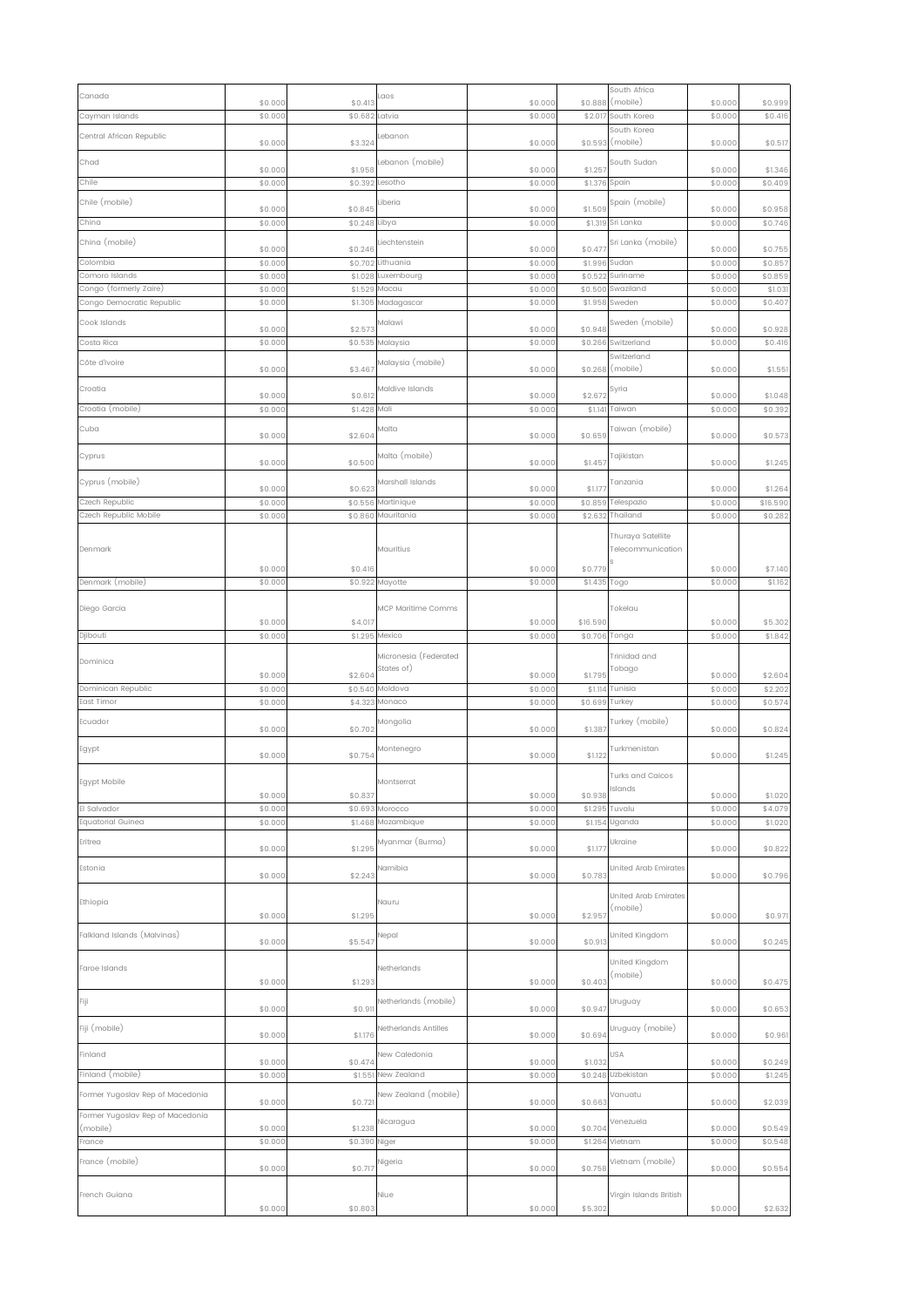| Canada                                              |                    |                    | cos                   |                    |                    | South Africa                     |                    |                    |
|-----------------------------------------------------|--------------------|--------------------|-----------------------|--------------------|--------------------|----------------------------------|--------------------|--------------------|
| Cayman Islands                                      | \$0.000<br>\$0.000 | \$0.413<br>\$0.682 | Latvia                | \$0.000<br>\$0.000 | \$0.888<br>\$2.01  | (mobile)<br>South Korea          | \$0.000<br>\$0.000 | \$0.999<br>\$0.416 |
|                                                     |                    |                    |                       |                    |                    | South Korea                      |                    |                    |
| Central African Republic                            | \$0.000            | \$3.324            | Lebanon               | \$0.000            |                    | \$0.593 (mobile)                 | \$0.000            | \$0.517            |
| Chad                                                |                    |                    | Lebanon (mobile)      |                    |                    | South Sudan                      |                    |                    |
| Chile                                               | \$0.000<br>\$0.000 | \$1.958<br>\$0.392 | Lesotho               | \$0.000<br>\$0.000 | \$1.25<br>\$1.376  | Spain                            | \$0.000<br>\$0.000 | \$1.346<br>\$0.409 |
| Chile (mobile)                                      |                    |                    | Liberia               |                    |                    | Spain (mobile)                   |                    |                    |
|                                                     | \$0.000            | \$0.845            |                       | \$0.000            | \$1.509            |                                  | \$0.000            | \$0.958            |
| China                                               | \$0.000            | \$0.248 Libya      |                       | \$0.000            |                    | \$1.319 Sri Lanka                | \$0.000            | \$0.746            |
| China (mobile)                                      | \$0.000            | \$0.246            | Liechtenstein         | \$0.000            | \$0.47             | Sri Lanka (mobile)               | \$0.000            | \$0.755            |
| Colombia                                            | \$0.000            | \$0.702            | Lithuania             | \$0.000            | \$1.996            | Sudan                            | \$0.000            | \$0.85             |
| Comoro Islands                                      | \$0.000            | \$1.028            | Luxembourg            | \$0.000            | \$0.522            | Suriname                         | \$0.000            | \$0.85             |
| Congo (formerly Zaire)<br>Congo Democratic Republic | \$0.000<br>\$0.000 | \$1.529<br>\$1.305 | Macau<br>Madagascar   | \$0.000<br>\$0.000 | \$0.500<br>\$1.958 | Swaziland<br>Sweden              | \$0.000<br>\$0.000 | \$1.03<br>\$0.40   |
|                                                     |                    |                    |                       |                    |                    |                                  |                    |                    |
| Cook Islands                                        | \$0.000            | \$2.57             | Malawi                | \$0.000            | \$0.948            | Sweden (mobile)                  | \$0.000            | \$0.928            |
| Costa Rica                                          | \$0.000            | \$0.535            | Malaysia              | \$0.000            | \$0.266            | Switzerland                      | \$0.000            | \$0.416            |
| Côte d'Ivoire                                       | \$0.000            | \$3.467            | Malaysia (mobile)     | \$0.000            | \$0.268            | Switzerland<br>(mobile)          | \$0.000            | \$1.55             |
|                                                     |                    |                    | Maldive Islands       |                    |                    |                                  |                    |                    |
| Croatia                                             | \$0.000            | \$0.612            |                       | \$0.000            | \$2.672            | Syria                            | \$0.000            | \$1.048            |
| Croatia (mobile)                                    | \$0.000            | \$1.428            | Mali                  | \$0.000            | \$1.141            | Taiwan                           | \$0.000            | \$0.392            |
| Cuba                                                | \$0.000            | \$2.604            | Malta                 | \$0.000            | \$0.659            | Taiwan (mobile)                  | \$0.000            | \$0.573            |
| Cyprus                                              |                    |                    | Malta (mobile)        |                    |                    | Tajikistan                       |                    |                    |
|                                                     | \$0.000            | \$0.500            |                       | \$0.000            | \$1.45             |                                  | \$0.000            | \$1.245            |
| Cyprus (mobile)                                     | \$0.000            | \$0.62             | Marshall Islands      | \$0.000            | \$1.17             | Tanzania                         | \$0.000            | \$1.264            |
| Czech Republic                                      | \$0.000            | \$0.556            | Martinique            | \$0.000            | \$0.859            | Telespazio                       | \$0.000            | \$16.590           |
| Czech Republic Mobile                               | \$0.000            | \$0.860            | Mauritania            | \$0.000            | \$2.632            | Thailand                         | \$0.000            | \$0.282            |
|                                                     |                    |                    |                       |                    |                    | Thuraya Satellite                |                    |                    |
| Denmark                                             |                    |                    | Mauritius             |                    |                    | Telecommunication                |                    |                    |
|                                                     | \$0.000            | \$0.416            |                       | \$0.000            | \$0.779            |                                  | \$0.000            | \$7.140            |
| Denmark (mobile)                                    | \$0.000            | \$0.922            | Mayotte               | \$0.000            | \$1.435            | Togo                             | \$0.000            | \$1.162            |
|                                                     |                    |                    |                       |                    |                    |                                  |                    |                    |
| Diego Garcia                                        | \$0.000            | \$4.017            | MCP Maritime Comms    | \$0.000            | \$16.590           | Tokelau                          | \$0.000            | \$5.302            |
| Djibouti                                            | \$0.000            | \$1.295            | Mexico                | \$0.000            | \$0.706            | Tonga                            | \$0.000            | \$1.842            |
|                                                     |                    |                    | Micronesia (Federated |                    |                    | Trinidad and                     |                    |                    |
| Dominica                                            |                    |                    | States of)            |                    |                    | Tobago                           |                    |                    |
| Dominican Republic                                  | \$0.000<br>\$0.000 | \$2.604<br>\$0.540 | Moldova               | \$0.000<br>\$0.000 | \$1.795<br>\$1.114 | Tunisia                          | \$0.000<br>\$0.000 | \$2.604<br>\$2.20  |
| East Timor                                          | \$0.000            | \$4.323            | Monaco                | \$0.000            | \$0.699            | Turkey                           | \$0.000            | \$0.574            |
| Ecuador                                             |                    |                    | Mongolia              |                    |                    | Turkey (mobile)                  |                    |                    |
|                                                     | \$0.000            | \$0.702            |                       | \$0.000            | \$1.387            |                                  | \$0.000            | \$0.824            |
| Egypt                                               | \$0.000            | \$0.754            | Montenegro            | \$0.000            | \$1.122            | Turkmenistan                     | \$0.000            | \$1.245            |
|                                                     |                    |                    |                       |                    |                    | <b>Turks and Caicos</b>          |                    |                    |
| Egypt Mobile                                        |                    |                    | Montserrat            |                    |                    | Islands                          |                    |                    |
| El Salvador                                         | \$0.000<br>\$0.000 | \$0.837<br>\$0.693 | Morocco               | \$0.000<br>\$0.000 | \$0.938            | Tuvalu                           | \$0.000<br>\$0.000 | \$1.020            |
| Equatorial Guinea                                   | \$0.000            | \$1.468            | Mozambique            | \$0.000            | \$1.295<br>\$1.154 | Uganda                           | \$0.000            | \$4.079<br>\$1.020 |
| Eritrea                                             |                    |                    | Myanmar (Burma)       |                    |                    | Ukraine                          |                    |                    |
|                                                     | \$0.000            | \$1.295            |                       | \$0.000            | \$1.177            |                                  | \$0.000            | \$0.822            |
| Estonia                                             | \$0.000            | \$2.243            | Namibia               | \$0.000            | \$0.78             | United Arab Emirates             | \$0.000            |                    |
|                                                     |                    |                    |                       |                    |                    |                                  |                    | \$0.796            |
| Ethiopia                                            |                    |                    | Nauru                 |                    |                    | United Arab Emirates<br>(mobile) |                    |                    |
|                                                     | \$0.000            | \$1.295            |                       | \$0.000            | \$2.957            |                                  | \$0.000            | \$0.97             |
| Falkland Islands (Malvinas)                         | \$0.000            | \$5.547            | Nepal                 | \$0.000            | \$0.913            | United Kingdom                   | \$0.000            | \$0.245            |
|                                                     |                    |                    |                       |                    |                    |                                  |                    |                    |
| Faroe Islands                                       |                    |                    | Netherlands           |                    |                    | United Kingdom<br>(mobile)       |                    |                    |
|                                                     | \$0.000            | \$1.293            |                       | \$0.000            | \$0.403            |                                  | \$0.000            | \$0.475            |
| Fiji                                                | \$0.000            | \$0.91             | Netherlands (mobile)  | \$0.000            | \$0.947            | Uruguay                          | \$0.000            | \$0.653            |
|                                                     |                    |                    |                       |                    |                    |                                  |                    |                    |
| Fiji (mobile)                                       | \$0.000            | \$1.176            | Netherlands Antilles  | \$0.000            | \$0.694            | Uruguay (mobile)                 | \$0.000            | \$0.961            |
| Finland                                             |                    |                    | New Caledonia         |                    |                    | USA                              |                    |                    |
| Finland (mobile)                                    | \$0.000<br>\$0.000 | \$0.474<br>\$1.55  | New Zealand           | \$0.000<br>\$0.000 | \$1.032<br>\$0.248 | Uzbekistan                       | \$0.000<br>\$0.000 | \$0.249<br>\$1.245 |
|                                                     |                    |                    |                       |                    |                    |                                  |                    |                    |
| Former Yugoslav Rep of Macedonia                    | \$0.000            | \$0.72             | New Zealand (mobile)  | \$0.000            | \$0.663            | Vanuatu                          | \$0.000            | \$2.039            |
| Former Yugoslav Rep of Macedonia                    |                    |                    | Nicaragua             |                    |                    | Venezuela                        |                    |                    |
| (mobile)<br>France                                  | \$0.000<br>\$0.000 | \$1.238<br>\$0.390 | Niger                 | \$0.000<br>\$0.000 | \$0.704<br>\$1.264 | Vietnam                          | \$0.000<br>\$0.000 | \$0.549<br>\$0.548 |
|                                                     |                    |                    |                       |                    |                    |                                  |                    |                    |
| France (mobile)                                     | \$0.000            | \$0.717            | Nigeria               | \$0.000            | \$0.758            | Vietnam (mobile)                 | \$0.000            | \$0.554            |
|                                                     |                    |                    |                       |                    |                    |                                  |                    |                    |
| French Guiana                                       | \$0.000            | \$0.803            | Niue                  | \$0.000            | \$5.302            | Virgin Islands British           | \$0.000            | \$2.632            |
|                                                     |                    |                    |                       |                    |                    |                                  |                    |                    |